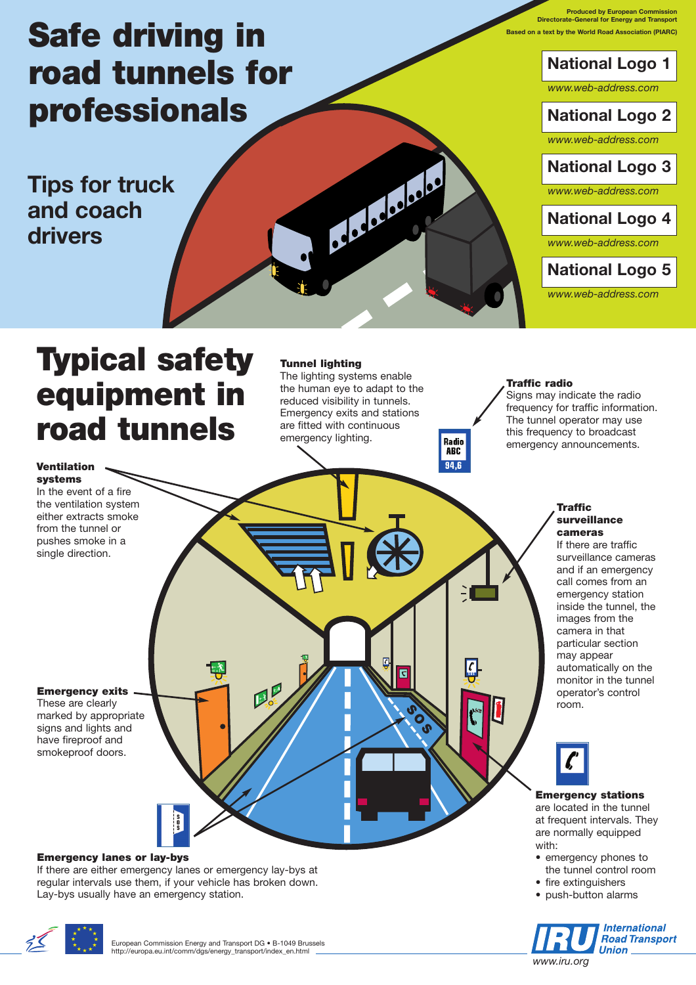# **Safe driving in road tunnels for professionals**

**Tips for truck and coach drivers**

**Produced by European Commission Directorate-General for Energy and Transport Based on a text by the World Road Association (PIARC)**

**National Logo 1**

*www.web-address.com*

# **National Logo 2**

*www.web-address.com*

**National Logo 3**

*www.web-address.com*

**National Logo 4**

*www.web-address.com*

# **National Logo 5**

*www.web-address.com*

# **Typical safety equipment in road tunnels**

**Tunnel lighting**

The lighting systems enable the human eye to adapt to the reduced visibility in tunnels. Emergency exits and stations are fitted with continuous emergency lighting.

Delacations.

**SOS**

 $\overline{\mathbf{c}}$ 

**SOS**

**Radio ABC** 94 F

### **Traffic radio**

Signs may indicate the radio frequency for traffic information. The tunnel operator may use this frequency to broadcast emergency announcements.

> **Traffic surveillance**

inside the tunnel, the images from the camera in that particular section may appear automatically on the monitor in the tunnel operator's control

### **Ventilation systems**

In the event of a fire the ventilation system either extracts smoke from the tunnel or pushes smoke in a single direction.

**cameras** If there are traffic surveillance cameras and if an emergency call comes from an emergency station

## **Emergency exits**

These are clearly marked by appropriate signs and lights and have fireproof and

smokeproof doors.

### **Emergency lanes or lay-bys**

If there are either emergency lanes or emergency lay-bys at regular intervals use them, if your vehicle has broken down. Lay-bys usually have an emergency station.



### **Emergency stations**

room.

are located in the tunnel at frequent intervals. They are normally equipped with:

- emergency phones to the tunnel control room
- fire extinguishers
- push-button alarms